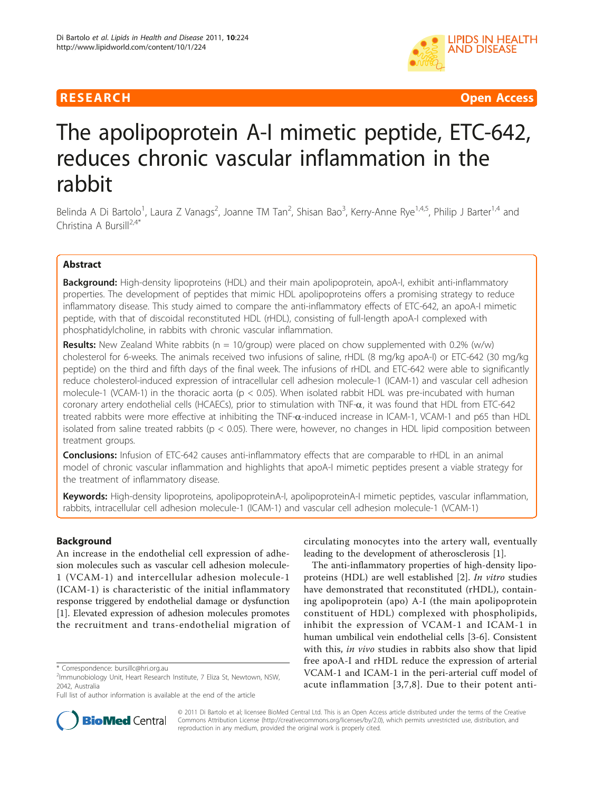

**RESEARCH Open Access** 

# The apolipoprotein A-I mimetic peptide, ETC-642, reduces chronic vascular inflammation in the rabbit

Belinda A Di Bartolo<sup>1</sup>, Laura Z Vanags<sup>2</sup>, Joanne TM Tan<sup>2</sup>, Shisan Bao<sup>3</sup>, Kerry-Anne Rye<sup>1,4,5</sup>, Philip J Barter<sup>1,4</sup> and Christina A Bursill<sup>2,4\*</sup>

# Abstract

Background: High-density lipoproteins (HDL) and their main apolipoprotein, apoA-I, exhibit anti-inflammatory properties. The development of peptides that mimic HDL apolipoproteins offers a promising strategy to reduce inflammatory disease. This study aimed to compare the anti-inflammatory effects of ETC-642, an apoA-I mimetic peptide, with that of discoidal reconstituted HDL (rHDL), consisting of full-length apoA-I complexed with phosphatidylcholine, in rabbits with chronic vascular inflammation.

**Results:** New Zealand White rabbits ( $n = 10$ /group) were placed on chow supplemented with 0.2% (w/w) cholesterol for 6-weeks. The animals received two infusions of saline, rHDL (8 mg/kg apoA-I) or ETC-642 (30 mg/kg peptide) on the third and fifth days of the final week. The infusions of rHDL and ETC-642 were able to significantly reduce cholesterol-induced expression of intracellular cell adhesion molecule-1 (ICAM-1) and vascular cell adhesion molecule-1 (VCAM-1) in the thoracic aorta ( $p < 0.05$ ). When isolated rabbit HDL was pre-incubated with human coronary artery endothelial cells (HCAECs), prior to stimulation with TNF- $\alpha$ , it was found that HDL from ETC-642 treated rabbits were more effective at inhibiting the TNF- $\alpha$ -induced increase in ICAM-1, VCAM-1 and p65 than HDL isolated from saline treated rabbits ( $p < 0.05$ ). There were, however, no changes in HDL lipid composition between treatment groups.

**Conclusions:** Infusion of ETC-642 causes anti-inflammatory effects that are comparable to rHDL in an animal model of chronic vascular inflammation and highlights that apoA-I mimetic peptides present a viable strategy for the treatment of inflammatory disease.

Keywords: High-density lipoproteins, apolipoproteinA-I, apolipoproteinA-I mimetic peptides, vascular inflammation, rabbits, intracellular cell adhesion molecule-1 (ICAM-1) and vascular cell adhesion molecule-1 (VCAM-1)

# **Background**

An increase in the endothelial cell expression of adhesion molecules such as vascular cell adhesion molecule-1 (VCAM-1) and intercellular adhesion molecule-1 (ICAM-1) is characteristic of the initial inflammatory response triggered by endothelial damage or dysfunction [[1\]](#page-6-0). Elevated expression of adhesion molecules promotes the recruitment and trans-endothelial migration of

circulating monocytes into the artery wall, eventually leading to the development of atherosclerosis [[1](#page-6-0)].

The anti-inflammatory properties of high-density lipoproteins (HDL) are well established [\[2](#page-6-0)]. In vitro studies have demonstrated that reconstituted (rHDL), containing apolipoprotein (apo) A-I (the main apolipoprotein constituent of HDL) complexed with phospholipids, inhibit the expression of VCAM-1 and ICAM-1 in human umbilical vein endothelial cells [\[3](#page-6-0)-[6\]](#page-6-0). Consistent with this, *in vivo* studies in rabbits also show that lipid free apoA-I and rHDL reduce the expression of arterial VCAM-1 and ICAM-1 in the peri-arterial cuff model of acute inflammation [\[3,7](#page-6-0),[8](#page-6-0)]. Due to their potent anti-



© 2011 Di Bartolo et al; licensee BioMed Central Ltd. This is an Open Access article distributed under the terms of the Creative Commons Attribution License [\(http://creativecommons.org/licenses/by/2.0](http://creativecommons.org/licenses/by/2.0)), which permits unrestricted use, distribution, and reproduction in any medium, provided the original work is properly cited.

<sup>\*</sup> Correspondence: [bursillc@hri.org.au](mailto:bursillc@hri.org.au)

<sup>&</sup>lt;sup>2</sup>Immunobiology Unit, Heart Research Institute, 7 Eliza St, Newtown, NSW, 2042, Australia

Full list of author information is available at the end of the article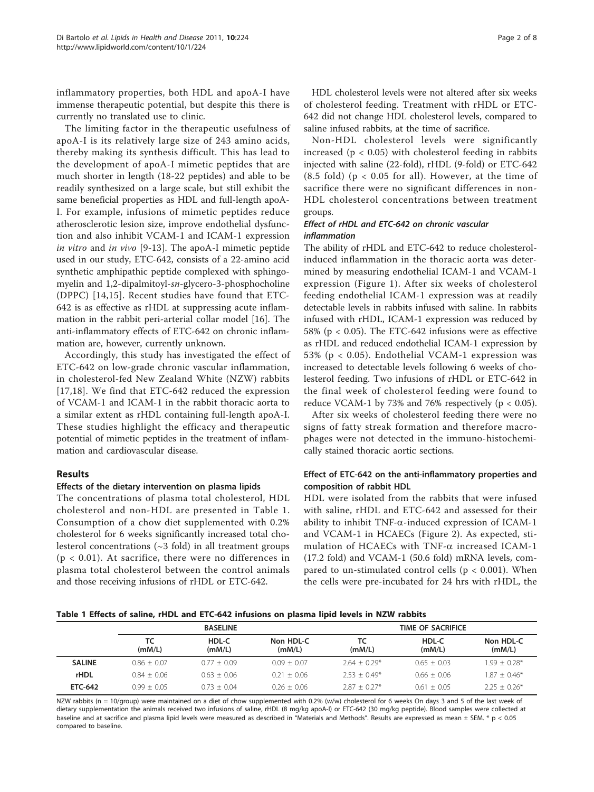inflammatory properties, both HDL and apoA-I have immense therapeutic potential, but despite this there is currently no translated use to clinic.

The limiting factor in the therapeutic usefulness of apoA-I is its relatively large size of 243 amino acids, thereby making its synthesis difficult. This has lead to the development of apoA-I mimetic peptides that are much shorter in length (18-22 peptides) and able to be readily synthesized on a large scale, but still exhibit the same beneficial properties as HDL and full-length apoA-I. For example, infusions of mimetic peptides reduce atherosclerotic lesion size, improve endothelial dysfunction and also inhibit VCAM-1 and ICAM-1 expression in vitro and in vivo [[9-13](#page-6-0)]. The apoA-I mimetic peptide used in our study, ETC-642, consists of a 22-amino acid synthetic amphipathic peptide complexed with sphingomyelin and 1,2-dipalmitoyl-sn-glycero-3-phosphocholine (DPPC) [\[14,15](#page-6-0)]. Recent studies have found that ETC-642 is as effective as rHDL at suppressing acute inflammation in the rabbit peri-arterial collar model [[16](#page-6-0)]. The anti-inflammatory effects of ETC-642 on chronic inflammation are, however, currently unknown.

Accordingly, this study has investigated the effect of ETC-642 on low-grade chronic vascular inflammation, in cholesterol-fed New Zealand White (NZW) rabbits [[17](#page-6-0),[18\]](#page-6-0). We find that ETC-642 reduced the expression of VCAM-1 and ICAM-1 in the rabbit thoracic aorta to a similar extent as rHDL containing full-length apoA-I. These studies highlight the efficacy and therapeutic potential of mimetic peptides in the treatment of inflammation and cardiovascular disease.

#### Results

#### Effects of the dietary intervention on plasma lipids

The concentrations of plasma total cholesterol, HDL cholesterol and non-HDL are presented in Table 1. Consumption of a chow diet supplemented with 0.2% cholesterol for 6 weeks significantly increased total cholesterol concentrations  $(\sim 3$  fold) in all treatment groups  $(p < 0.01)$ . At sacrifice, there were no differences in plasma total cholesterol between the control animals and those receiving infusions of rHDL or ETC-642.

HDL cholesterol levels were not altered after six weeks of cholesterol feeding. Treatment with rHDL or ETC-642 did not change HDL cholesterol levels, compared to saline infused rabbits, at the time of sacrifice.

Non-HDL cholesterol levels were significantly increased ( $p < 0.05$ ) with cholesterol feeding in rabbits injected with saline (22-fold), rHDL (9-fold) or ETC-642  $(8.5 \text{ fold})$  (p < 0.05 for all). However, at the time of sacrifice there were no significant differences in non-HDL cholesterol concentrations between treatment groups.

# Effect of rHDL and ETC-642 on chronic vascular inflammation

The ability of rHDL and ETC-642 to reduce cholesterolinduced inflammation in the thoracic aorta was determined by measuring endothelial ICAM-1 and VCAM-1 expression (Figure [1\)](#page-2-0). After six weeks of cholesterol feeding endothelial ICAM-1 expression was at readily detectable levels in rabbits infused with saline. In rabbits infused with rHDL, ICAM-1 expression was reduced by 58% (p < 0.05). The ETC-642 infusions were as effective as rHDL and reduced endothelial ICAM-1 expression by 53% (p < 0.05). Endothelial VCAM-1 expression was increased to detectable levels following 6 weeks of cholesterol feeding. Two infusions of rHDL or ETC-642 in the final week of cholesterol feeding were found to reduce VCAM-1 by 73% and 76% respectively ( $p < 0.05$ ).

After six weeks of cholesterol feeding there were no signs of fatty streak formation and therefore macrophages were not detected in the immuno-histochemically stained thoracic aortic sections.

# Effect of ETC-642 on the anti-inflammatory properties and composition of rabbit HDL

HDL were isolated from the rabbits that were infused with saline, rHDL and ETC-642 and assessed for their ability to inhibit  $TNF-\alpha$ -induced expression of ICAM-1 and VCAM-1 in HCAECs (Figure [2](#page-3-0)). As expected, stimulation of HCAECs with  $TNF-\alpha$  increased ICAM-1 (17.2 fold) and VCAM-1 (50.6 fold) mRNA levels, compared to un-stimulated control cells ( $p < 0.001$ ). When the cells were pre-incubated for 24 hrs with rHDL, the

#### Table 1 Effects of saline, rHDL and ETC-642 infusions on plasma lipid levels in NZW rabbits

|                | <b>BASELINE</b> |                 |                     | TIME OF SACRIFICE |                 |                     |
|----------------|-----------------|-----------------|---------------------|-------------------|-----------------|---------------------|
|                | тс<br>(mM/L)    | HDL-C<br>(mM/L) | Non HDL-C<br>(mM/L) | тс<br>(mM/L)      | HDL-C<br>(mM/L) | Non HDL-C<br>(mM/L) |
| <b>SALINE</b>  | $0.86 + 0.07$   | $0.77 + 0.09$   | $0.09 + 0.07$       | $2.64 + 0.29*$    | $0.65 + 0.03$   | $1.99 + 0.28*$      |
| <b>rHDL</b>    | $0.84 + 0.06$   | $0.63 + 0.06$   | $0.21 + 0.06$       | $2.53 + 0.49*$    | $0.66 + 0.06$   | $1.87 + 0.46*$      |
| <b>ETC-642</b> | $0.99 + 0.05$   | $0.73 + 0.04$   | $0.26 + 0.06$       | $2.87 + 0.27*$    | $0.61 + 0.05$   | $2.25 + 0.26*$      |

NZW rabbits (n = 10/group) were maintained on a diet of chow supplemented with 0.2% (w/w) cholesterol for 6 weeks On days 3 and 5 of the last week of dietary supplementation the animals received two infusions of saline, rHDL (8 mg/kg apoA-I) or ETC-642 (30 mg/kg peptide). Blood samples were collected at baseline and at sacrifice and plasma lipid levels were measured as described in "Materials and Methods". Results are expressed as mean ± SEM. \* p < 0.05 compared to baseline.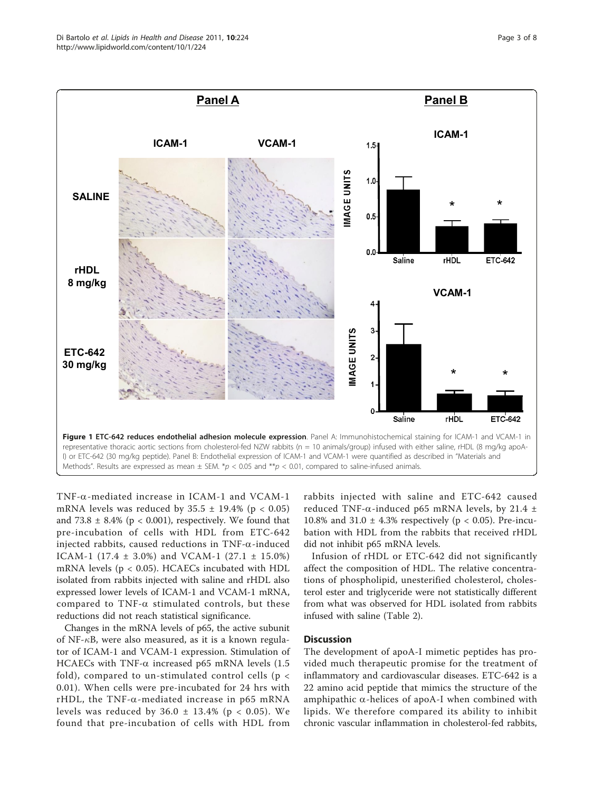<span id="page-2-0"></span>

TNF-a-mediated increase in ICAM-1 and VCAM-1 mRNA levels was reduced by  $35.5 \pm 19.4\%$  (p < 0.05) and 73.8  $\pm$  8.4% (p < 0.001), respectively. We found that pre-incubation of cells with HDL from ETC-642 injected rabbits, caused reductions in TNF- $\alpha$ -induced ICAM-1 (17.4 ± 3.0%) and VCAM-1 (27.1 ± 15.0%) mRNA levels (p < 0.05). HCAECs incubated with HDL isolated from rabbits injected with saline and rHDL also expressed lower levels of ICAM-1 and VCAM-1 mRNA, compared to  $TNF-\alpha$  stimulated controls, but these reductions did not reach statistical significance.

Changes in the mRNA levels of p65, the active subunit of NF- $\kappa$ B, were also measured, as it is a known regulator of ICAM-1 and VCAM-1 expression. Stimulation of HCAECs with TNF- $\alpha$  increased p65 mRNA levels (1.5 fold), compared to un-stimulated control cells ( $p <$ 0.01). When cells were pre-incubated for 24 hrs with rHDL, the TNF- $\alpha$ -mediated increase in p65 mRNA levels was reduced by  $36.0 \pm 13.4\%$  (p < 0.05). We found that pre-incubation of cells with HDL from rabbits injected with saline and ETC-642 caused reduced TNF- $\alpha$ -induced p65 mRNA levels, by 21.4  $\pm$ 10.8% and 31.0  $\pm$  4.3% respectively (p < 0.05). Pre-incubation with HDL from the rabbits that received rHDL did not inhibit p65 mRNA levels.

Infusion of rHDL or ETC-642 did not significantly affect the composition of HDL. The relative concentrations of phospholipid, unesterified cholesterol, cholesterol ester and triglyceride were not statistically different from what was observed for HDL isolated from rabbits infused with saline (Table [2\)](#page-4-0).

# **Discussion**

The development of apoA-I mimetic peptides has provided much therapeutic promise for the treatment of inflammatory and cardiovascular diseases. ETC-642 is a 22 amino acid peptide that mimics the structure of the amphipathic  $\alpha$ -helices of apoA-I when combined with lipids. We therefore compared its ability to inhibit chronic vascular inflammation in cholesterol-fed rabbits,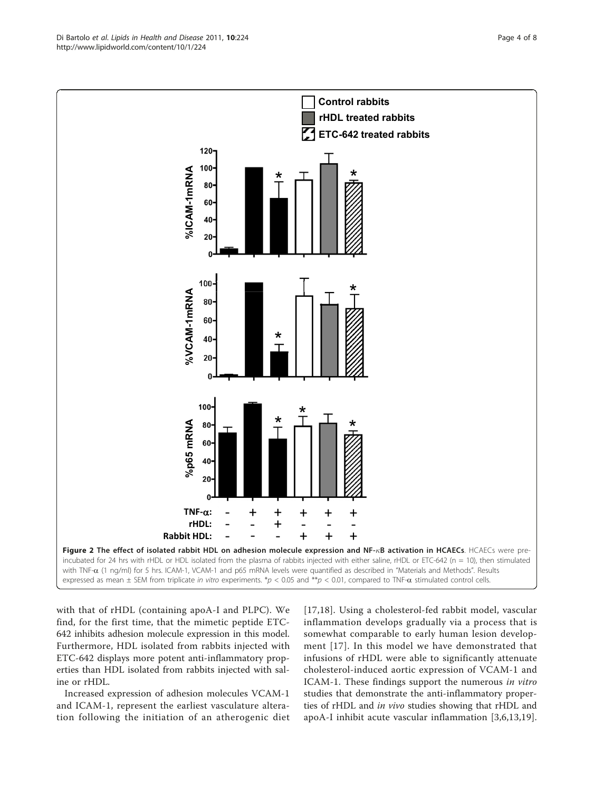with that of rHDL (containing apoA-I and PLPC). We find, for the first time, that the mimetic peptide ETC-642 inhibits adhesion molecule expression in this model. Furthermore, HDL isolated from rabbits injected with ETC-642 displays more potent anti-inflammatory properties than HDL isolated from rabbits injected with saline or rHDL.

Increased expression of adhesion molecules VCAM-1 and ICAM-1, represent the earliest vasculature alteration following the initiation of an atherogenic diet [[17](#page-6-0),[18\]](#page-6-0). Using a cholesterol-fed rabbit model, vascular inflammation develops gradually via a process that is somewhat comparable to early human lesion development [\[17\]](#page-6-0). In this model we have demonstrated that infusions of rHDL were able to significantly attenuate cholesterol-induced aortic expression of VCAM-1 and ICAM-1. These findings support the numerous in vitro studies that demonstrate the anti-inflammatory properties of rHDL and in vivo studies showing that rHDL and apoA-I inhibit acute vascular inflammation [[3,6](#page-6-0),[13,19](#page-6-0)].

<span id="page-3-0"></span>

expressed as mean  $\pm$  SEM from triplicate in vitro experiments. \*p < 0.05 and \*\*p < 0.01, compared to TNF- $\alpha$  stimulated control cells.

**Control rabbits** 

**rHDL treated rabbits ETC-642 treated rabbit ETC 642 tre s**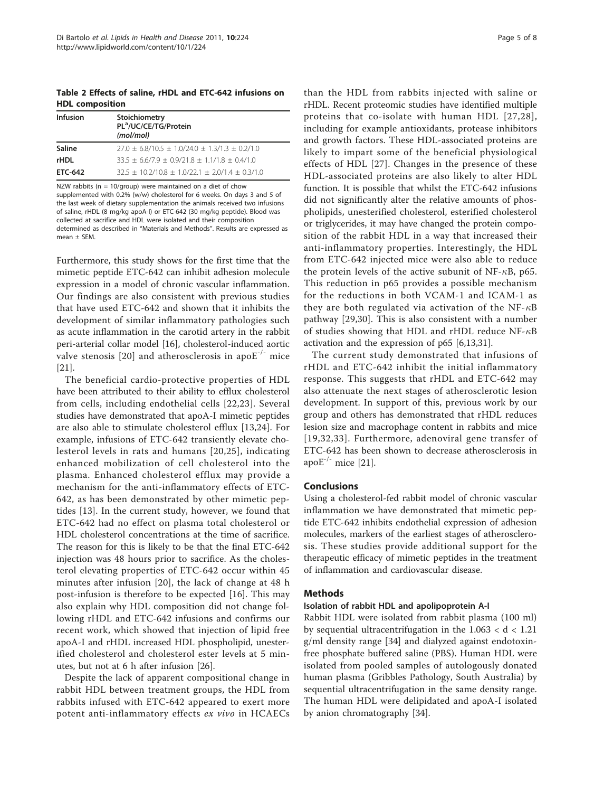<span id="page-4-0"></span>Table 2 Effects of saline, rHDL and ETC-642 infusions on HDL composition

| <b>Infusion</b> | Stoichiometry<br>PL <sup>a</sup> /UC/CE/TG/Protein<br>(mol/mol) |
|-----------------|-----------------------------------------------------------------|
| Saline          | $27.0 \pm 6.8/10.5 \pm 1.0/24.0 \pm 1.3/1.3 \pm 0.2/1.0$        |
| <b>rHDL</b>     | $33.5 \pm 6.6/7.9 \pm 0.9/21.8 \pm 1.1/1.8 \pm 0.4/1.0$         |
| ETC-642         | $32.5 \pm 10.2/10.8 \pm 1.0/22.1 \pm 2.0/1.4 \pm 0.3/1.0$       |

NZW rabbits (n = 10/group) were maintained on a diet of chow supplemented with 0.2% (w/w) cholesterol for 6 weeks. On days 3 and 5 of the last week of dietary supplementation the animals received two infusions of saline, rHDL (8 mg/kg apoA-I) or ETC-642 (30 mg/kg peptide). Blood was collected at sacrifice and HDL were isolated and their composition determined as described in "Materials and Methods". Results are expressed as  $mean \pm SEM$ 

Furthermore, this study shows for the first time that the mimetic peptide ETC-642 can inhibit adhesion molecule expression in a model of chronic vascular inflammation. Our findings are also consistent with previous studies that have used ETC-642 and shown that it inhibits the development of similar inflammatory pathologies such as acute inflammation in the carotid artery in the rabbit peri-arterial collar model [[16](#page-6-0)], cholesterol-induced aortic valve stenosis [[20](#page-6-0)] and atherosclerosis in apo $E^{-/-}$  mice [[21\]](#page-6-0).

The beneficial cardio-protective properties of HDL have been attributed to their ability to efflux cholesterol from cells, including endothelial cells [[22,23\]](#page-6-0). Several studies have demonstrated that apoA-I mimetic peptides are also able to stimulate cholesterol efflux [\[13](#page-6-0),[24\]](#page-6-0). For example, infusions of ETC-642 transiently elevate cholesterol levels in rats and humans [[20,25](#page-6-0)], indicating enhanced mobilization of cell cholesterol into the plasma. Enhanced cholesterol efflux may provide a mechanism for the anti-inflammatory effects of ETC-642, as has been demonstrated by other mimetic peptides [[13\]](#page-6-0). In the current study, however, we found that ETC-642 had no effect on plasma total cholesterol or HDL cholesterol concentrations at the time of sacrifice. The reason for this is likely to be that the final ETC-642 injection was 48 hours prior to sacrifice. As the cholesterol elevating properties of ETC-642 occur within 45 minutes after infusion [\[20\]](#page-6-0), the lack of change at 48 h post-infusion is therefore to be expected [[16\]](#page-6-0). This may also explain why HDL composition did not change following rHDL and ETC-642 infusions and confirms our recent work, which showed that injection of lipid free apoA-I and rHDL increased HDL phospholipid, unesterified cholesterol and cholesterol ester levels at 5 minutes, but not at 6 h after infusion [[26](#page-6-0)].

Despite the lack of apparent compositional change in rabbit HDL between treatment groups, the HDL from rabbits infused with ETC-642 appeared to exert more potent anti-inflammatory effects ex vivo in HCAECs than the HDL from rabbits injected with saline or rHDL. Recent proteomic studies have identified multiple proteins that co-isolate with human HDL [[27](#page-6-0),[28\]](#page-7-0), including for example antioxidants, protease inhibitors and growth factors. These HDL-associated proteins are likely to impart some of the beneficial physiological effects of HDL [\[27\]](#page-6-0). Changes in the presence of these HDL-associated proteins are also likely to alter HDL function. It is possible that whilst the ETC-642 infusions did not significantly alter the relative amounts of phospholipids, unesterified cholesterol, esterified cholesterol or triglycerides, it may have changed the protein composition of the rabbit HDL in a way that increased their anti-inflammatory properties. Interestingly, the HDL from ETC-642 injected mice were also able to reduce the protein levels of the active subunit of NF- $\kappa$ B, p65. This reduction in p65 provides a possible mechanism for the reductions in both VCAM-1 and ICAM-1 as they are both regulated via activation of the NF- $\kappa$ B pathway [\[29](#page-7-0),[30\]](#page-7-0). This is also consistent with a number of studies showing that HDL and rHDL reduce  $NF-\kappa B$ activation and the expression of p65 [\[6,13](#page-6-0)[,31](#page-7-0)].

The current study demonstrated that infusions of rHDL and ETC-642 inhibit the initial inflammatory response. This suggests that rHDL and ETC-642 may also attenuate the next stages of atherosclerotic lesion development. In support of this, previous work by our group and others has demonstrated that rHDL reduces lesion size and macrophage content in rabbits and mice [[19,](#page-6-0)[32](#page-7-0),[33](#page-7-0)]. Furthermore, adenoviral gene transfer of ETC-642 has been shown to decrease atherosclerosis in apo $E^{-/-}$  mice [[21\]](#page-6-0).

# Conclusions

Using a cholesterol-fed rabbit model of chronic vascular inflammation we have demonstrated that mimetic peptide ETC-642 inhibits endothelial expression of adhesion molecules, markers of the earliest stages of atherosclerosis. These studies provide additional support for the therapeutic efficacy of mimetic peptides in the treatment of inflammation and cardiovascular disease.

# **Methods**

#### Isolation of rabbit HDL and apolipoprotein A-I

Rabbit HDL were isolated from rabbit plasma (100 ml) by sequential ultracentrifugation in the 1.063 < d < 1.21 g/ml density range [\[34](#page-7-0)] and dialyzed against endotoxinfree phosphate buffered saline (PBS). Human HDL were isolated from pooled samples of autologously donated human plasma (Gribbles Pathology, South Australia) by sequential ultracentrifugation in the same density range. The human HDL were delipidated and apoA-I isolated by anion chromatography [[34](#page-7-0)].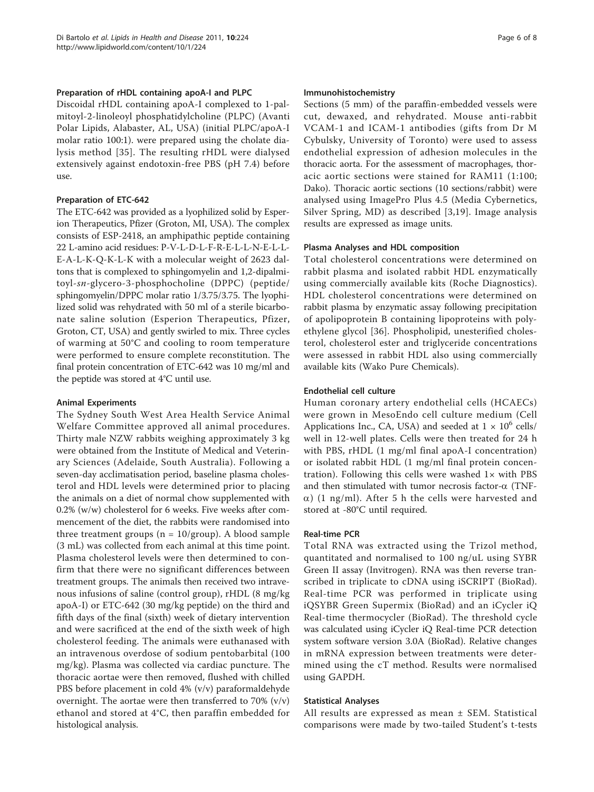#### Preparation of rHDL containing apoA-I and PLPC

Discoidal rHDL containing apoA-I complexed to 1-palmitoyl-2-linoleoyl phosphatidylcholine (PLPC) (Avanti Polar Lipids, Alabaster, AL, USA) (initial PLPC/apoA-I molar ratio 100:1). were prepared using the cholate dialysis method [[35\]](#page-7-0). The resulting rHDL were dialysed extensively against endotoxin-free PBS (pH 7.4) before use.

### Preparation of ETC-642

The ETC-642 was provided as a lyophilized solid by Esperion Therapeutics, Pfizer (Groton, MI, USA). The complex consists of ESP-2418, an amphipathic peptide containing 22 L-amino acid residues: P-V-L-D-L-F-R-E-L-L-N-E-L-L-E-A-L-K-Q-K-L-K with a molecular weight of 2623 daltons that is complexed to sphingomyelin and 1,2-dipalmitoyl-sn-glycero-3-phosphocholine (DPPC) (peptide/ sphingomyelin/DPPC molar ratio 1/3.75/3.75. The lyophilized solid was rehydrated with 50 ml of a sterile bicarbonate saline solution (Esperion Therapeutics, Pfizer, Groton, CT, USA) and gently swirled to mix. Three cycles of warming at 50°C and cooling to room temperature were performed to ensure complete reconstitution. The final protein concentration of ETC-642 was 10 mg/ml and the peptide was stored at 4°C until use.

# Animal Experiments

The Sydney South West Area Health Service Animal Welfare Committee approved all animal procedures. Thirty male NZW rabbits weighing approximately 3 kg were obtained from the Institute of Medical and Veterinary Sciences (Adelaide, South Australia). Following a seven-day acclimatisation period, baseline plasma cholesterol and HDL levels were determined prior to placing the animals on a diet of normal chow supplemented with 0.2% (w/w) cholesterol for 6 weeks. Five weeks after commencement of the diet, the rabbits were randomised into three treatment groups ( $n = 10$ /group). A blood sample (3 mL) was collected from each animal at this time point. Plasma cholesterol levels were then determined to confirm that there were no significant differences between treatment groups. The animals then received two intravenous infusions of saline (control group), rHDL (8 mg/kg apoA-I) or ETC-642 (30 mg/kg peptide) on the third and fifth days of the final (sixth) week of dietary intervention and were sacrificed at the end of the sixth week of high cholesterol feeding. The animals were euthanased with an intravenous overdose of sodium pentobarbital (100 mg/kg). Plasma was collected via cardiac puncture. The thoracic aortae were then removed, flushed with chilled PBS before placement in cold 4% (v/v) paraformaldehyde overnight. The aortae were then transferred to 70% (v/v) ethanol and stored at 4°C, then paraffin embedded for histological analysis.

#### Immunohistochemistry

Sections (5 mm) of the paraffin-embedded vessels were cut, dewaxed, and rehydrated. Mouse anti-rabbit VCAM-1 and ICAM-1 antibodies (gifts from Dr M Cybulsky, University of Toronto) were used to assess endothelial expression of adhesion molecules in the thoracic aorta. For the assessment of macrophages, thoracic aortic sections were stained for RAM11 (1:100; Dako). Thoracic aortic sections (10 sections/rabbit) were analysed using ImagePro Plus 4.5 (Media Cybernetics, Silver Spring, MD) as described [[3](#page-6-0),[19\]](#page-6-0). Image analysis results are expressed as image units.

### Plasma Analyses and HDL composition

Total cholesterol concentrations were determined on rabbit plasma and isolated rabbit HDL enzymatically using commercially available kits (Roche Diagnostics). HDL cholesterol concentrations were determined on rabbit plasma by enzymatic assay following precipitation of apolipoprotein B containing lipoproteins with polyethylene glycol [[36](#page-7-0)]. Phospholipid, unesterified cholesterol, cholesterol ester and triglyceride concentrations were assessed in rabbit HDL also using commercially available kits (Wako Pure Chemicals).

#### Endothelial cell culture

Human coronary artery endothelial cells (HCAECs) were grown in MesoEndo cell culture medium (Cell Applications Inc., CA, USA) and seeded at  $1 \times 10^6$  cells/ well in 12-well plates. Cells were then treated for 24 h with PBS, rHDL (1 mg/ml final apoA-I concentration) or isolated rabbit HDL (1 mg/ml final protein concentration). Following this cells were washed  $1\times$  with PBS and then stimulated with tumor necrosis factor- $\alpha$  (TNF- $\alpha$ ) (1 ng/ml). After 5 h the cells were harvested and stored at -80°C until required.

#### Real-time PCR

Total RNA was extracted using the Trizol method, quantitated and normalised to 100 ng/uL using SYBR Green II assay (Invitrogen). RNA was then reverse transcribed in triplicate to cDNA using iSCRIPT (BioRad). Real-time PCR was performed in triplicate using iQSYBR Green Supermix (BioRad) and an iCycler iQ Real-time thermocycler (BioRad). The threshold cycle was calculated using iCycler iQ Real-time PCR detection system software version 3.0A (BioRad). Relative changes in mRNA expression between treatments were determined using the cT method. Results were normalised using GAPDH.

#### Statistical Analyses

All results are expressed as mean ± SEM. Statistical comparisons were made by two-tailed Student's t-tests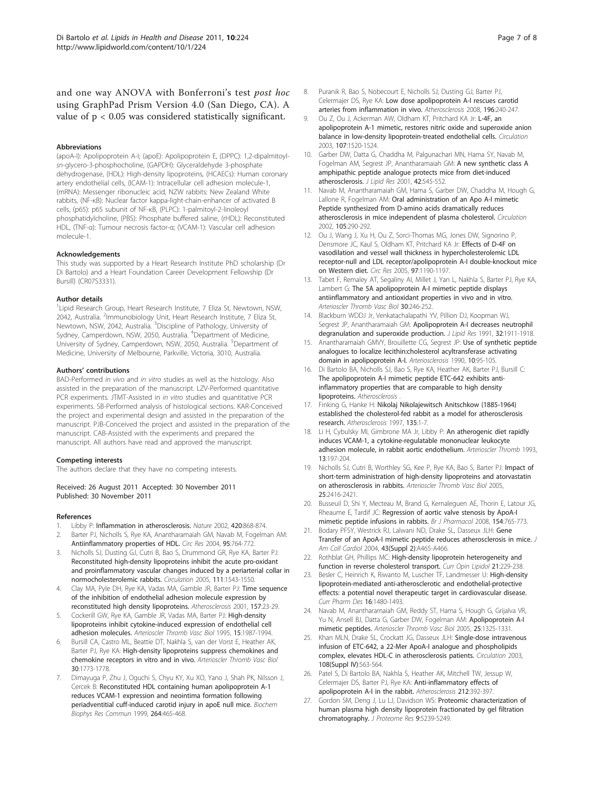<span id="page-6-0"></span>and one way ANOVA with Bonferroni's test post hoc using GraphPad Prism Version 4.0 (San Diego, CA). A value of p < 0.05 was considered statistically significant.

#### Abbreviations

(apoA-I): Apolipoprotein A-I; (apoE): Apolipoprotein E, (DPPC): 1,2-dipalmitoylsn-glycero-3-phosphocholine, (GAPDH): Glyceraldehyde 3-phosphate dehydrogenase, (HDL): High-density lipoproteins, (HCAECs): Human coronary artery endothelial cells, (ICAM-1): Intracellular cell adhesion molecule-1, (mRNA): Messenger ribonucleic acid, NZW rabbits: New Zealand White rabbits, (NF-κB): Nuclear factor kappa-light-chain-enhancer of activated B cells, (p65): p65 subunit of NF-κB, (PLPC): 1-palmitoyl-2-linoleoyl phosphatidylcholine, (PBS): Phosphate buffered saline, (rHDL): Reconstituted HDL, (TNF-α): Tumour necrosis factor-α; (VCAM-1): Vascular cell adhesion molecule-1.

#### Acknowledgements

This study was supported by a Heart Research Institute PhD scholarship (Dr Di Bartolo) and a Heart Foundation Career Development Fellowship (Dr Bursill) (CR07S3331).

#### Author details

<sup>1</sup> Lipid Research Group, Heart Research Institute, 7 Eliza St, Newtown, NSW, 2042, Australia. <sup>2</sup>Immunobiology Unit, Heart Research Institute, 7 Eliza St, Newtown, NSW, 2042, Australia. <sup>3</sup>Discipline of Pathology, University of Sydney, Camperdown, NSW, 2050, Australia. <sup>4</sup>Department of Medicine, University of Sydney, Camperdown, NSW, 2050, Australia. <sup>5</sup>Department of Medicine, University of Melbourne, Parkville, Victoria, 3010, Australia.

#### Authors' contributions

BAD-Performed in vivo and in vitro studies as well as the histology. Also assisted in the preparation of the manuscript. LZV-Performed quantitative PCR experiments. JTMT-Assisted in in vitro studies and quantitative PCR experiments. SB-Performed analysis of histological sections. KAR-Conceived the project and experimental design and assisted in the preparation of the manuscript. PJB-Conceived the project and assisted in the preparation of the manuscript. CAB-Assisted with the experiments and prepared the manuscript. All authors have read and approved the manuscript.

#### Competing interests

The authors declare that they have no competing interests.

Received: 26 August 2011 Accepted: 30 November 2011 Published: 30 November 2011

#### References

- 1. Libby P: [Inflammation in atherosclerosis.](http://www.ncbi.nlm.nih.gov/pubmed/12490960?dopt=Abstract) Nature 2002, 420:868-874.
- 2. Barter PJ, Nicholls S, Rye KA, Anantharamaiah GM, Navab M, Fogelman AM: [Antiinflammatory properties of HDL.](http://www.ncbi.nlm.nih.gov/pubmed/15486323?dopt=Abstract) Circ Res 2004, 95:764-772.
- 3. Nicholls SJ, Dusting GJ, Cutri B, Bao S, Drummond GR, Rye KA, Barter PJ: [Reconstituted high-density lipoproteins inhibit the acute pro-oxidant](http://www.ncbi.nlm.nih.gov/pubmed/15781735?dopt=Abstract) [and proinflammatory vascular changes induced by a periarterial collar in](http://www.ncbi.nlm.nih.gov/pubmed/15781735?dopt=Abstract) [normocholesterolemic rabbits.](http://www.ncbi.nlm.nih.gov/pubmed/15781735?dopt=Abstract) Circulation 2005, 111:1543-1550.
- Clay MA, Pyle DH, Rye KA, Vadas MA, Gamble JR, Barter PJ: [Time sequence](http://www.ncbi.nlm.nih.gov/pubmed/11427200?dopt=Abstract) [of the inhibition of endothelial adhesion molecule expression by](http://www.ncbi.nlm.nih.gov/pubmed/11427200?dopt=Abstract) [reconstituted high density lipoproteins.](http://www.ncbi.nlm.nih.gov/pubmed/11427200?dopt=Abstract) Atherosclerosis 2001, 157:23-29.
- Cockerill GW, Rye KA, Gamble JR, Vadas MA, Barter PJ: [High-density](http://www.ncbi.nlm.nih.gov/pubmed/7583580?dopt=Abstract) [lipoproteins inhibit cytokine-induced expression of endothelial cell](http://www.ncbi.nlm.nih.gov/pubmed/7583580?dopt=Abstract) [adhesion molecules.](http://www.ncbi.nlm.nih.gov/pubmed/7583580?dopt=Abstract) Arterioscler Thromb Vasc Biol 1995, 15:1987-1994.
- 6. Bursill CA, Castro ML, Beattie DT, Nakhla S, van der Vorst E, Heather AK, Barter PJ, Rye KA: High-density lipoproteins suppress chemokines and chemokine receptors in vitro and in vivo. Arterioscler Thromb Vasc Biol 30:1773-1778.
- 7. Dimayuga P, Zhu J, Oguchi S, Chyu KY, Xu XO, Yano J, Shah PK, Nilsson J, Cercek B: [Reconstituted HDL containing human apolipoprotein A-1](http://www.ncbi.nlm.nih.gov/pubmed/10529386?dopt=Abstract) [reduces VCAM-1 expression and neointima formation following](http://www.ncbi.nlm.nih.gov/pubmed/10529386?dopt=Abstract) [periadventitial cuff-induced carotid injury in apoE null mice.](http://www.ncbi.nlm.nih.gov/pubmed/10529386?dopt=Abstract) Biochem Biophys Res Commun 1999, 264:465-468.
- 8. Puranik R, Bao S, Nobecourt E, Nicholls SJ, Dusting GJ, Barter PJ, Celermajer DS, Rye KA: [Low dose apolipoprotein A-I rescues carotid](http://www.ncbi.nlm.nih.gov/pubmed/17586510?dopt=Abstract) [arteries from inflammation in vivo.](http://www.ncbi.nlm.nih.gov/pubmed/17586510?dopt=Abstract) Atherosclerosis 2008, 196:240-247.
- 9. Ou Z, Ou J, Ackerman AW, Oldham KT, Pritchard KA Jr: [L-4F, an](http://www.ncbi.nlm.nih.gov/pubmed/12654610?dopt=Abstract) [apolipoprotein A-1 mimetic, restores nitric oxide and superoxide anion](http://www.ncbi.nlm.nih.gov/pubmed/12654610?dopt=Abstract) [balance in low-density lipoprotein-treated endothelial cells.](http://www.ncbi.nlm.nih.gov/pubmed/12654610?dopt=Abstract) Circulation 2003, 107:1520-1524.
- 10. Garber DW, Datta G, Chaddha M, Palgunachari MN, Hama SY, Navab M, Fogelman AM, Segrest JP, Anantharamaiah GM: [A new synthetic class A](http://www.ncbi.nlm.nih.gov/pubmed/11290826?dopt=Abstract) [amphipathic peptide analogue protects mice from diet-induced](http://www.ncbi.nlm.nih.gov/pubmed/11290826?dopt=Abstract) [atherosclerosis.](http://www.ncbi.nlm.nih.gov/pubmed/11290826?dopt=Abstract) J Lipid Res 2001, 42:545-552.
- 11. Navab M, Anantharamaiah GM, Hama S, Garber DW, Chaddha M, Hough G, Lallone R, Fogelman AM: [Oral administration of an Apo A-I mimetic](http://www.ncbi.nlm.nih.gov/pubmed/11804981?dopt=Abstract) [Peptide synthesized from D-amino acids dramatically reduces](http://www.ncbi.nlm.nih.gov/pubmed/11804981?dopt=Abstract) [atherosclerosis in mice independent of plasma cholesterol.](http://www.ncbi.nlm.nih.gov/pubmed/11804981?dopt=Abstract) Circulation 2002, 105:290-292.
- 12. Ou J, Wang J, Xu H, Ou Z, Sorci-Thomas MG, Jones DW, Signorino P, Densmore JC, Kaul S, Oldham KT, Pritchard KA Jr: [Effects of D-4F on](http://www.ncbi.nlm.nih.gov/pubmed/16224061?dopt=Abstract) [vasodilation and vessel wall thickness in hypercholesterolemic LDL](http://www.ncbi.nlm.nih.gov/pubmed/16224061?dopt=Abstract) [receptor-null and LDL receptor/apolipoprotein A-I double-knockout mice](http://www.ncbi.nlm.nih.gov/pubmed/16224061?dopt=Abstract) [on Western diet.](http://www.ncbi.nlm.nih.gov/pubmed/16224061?dopt=Abstract) Circ Res 2005, 97:1190-1197.
- 13. Tabet F, Remaley AT, Segaliny AI, Millet J, Yan L, Nakhla S, Barter PJ, Rye KA, Lambert G: The 5A apolipoprotein A-I mimetic peptide displays antiinflammatory and antioxidant properties in vivo and in vitro. Arterioscler Thromb Vasc Biol 30:246-252.
- 14. Blackburn WDDJ Jr, Venkatachalapathi YV, Pillion DJ, Koopman WJ, Segrest JP, Anantharamaiah GM: [Apolipoprotein A-I decreases neutrophil](http://www.ncbi.nlm.nih.gov/pubmed/1667793?dopt=Abstract) [degranulation and superoxide production.](http://www.ncbi.nlm.nih.gov/pubmed/1667793?dopt=Abstract) *J Lipid Res* 1991, 32:1911-1918.
- 15. Anantharamaiah GMVY, Brouillette CG, Segrest JP: [Use of synthetic peptide](http://www.ncbi.nlm.nih.gov/pubmed/2105091?dopt=Abstract) [analogues to localize lecithin:cholesterol acyltransferase activating](http://www.ncbi.nlm.nih.gov/pubmed/2105091?dopt=Abstract) [domain in apolipoprotein A-I.](http://www.ncbi.nlm.nih.gov/pubmed/2105091?dopt=Abstract) Arteriosclerosis 1990, 10:95-105.
- 16. Di Bartolo BA, Nicholls SJ, Bao S, Rye KA, Heather AK, Barter PJ, Bursill C: The apolipoprotein A-I mimetic peptide ETC-642 exhibits antiinflammatory properties that are comparable to high density lipoproteins. Atherosclerosis
- 17. Finking G, Hanke H: [Nikolaj Nikolajewitsch Anitschkow \(1885-1964\)](http://www.ncbi.nlm.nih.gov/pubmed/9395267?dopt=Abstract) [established the cholesterol-fed rabbit as a model for atherosclerosis](http://www.ncbi.nlm.nih.gov/pubmed/9395267?dopt=Abstract) [research.](http://www.ncbi.nlm.nih.gov/pubmed/9395267?dopt=Abstract) Atherosclerosis 1997, 135:1-7.
- 18. Li H, Cybulsky MI, Gimbrone MA Jr, Libby P: [An atherogenic diet rapidly](http://www.ncbi.nlm.nih.gov/pubmed/7678986?dopt=Abstract) [induces VCAM-1, a cytokine-regulatable mononuclear leukocyte](http://www.ncbi.nlm.nih.gov/pubmed/7678986?dopt=Abstract) [adhesion molecule, in rabbit aortic endothelium.](http://www.ncbi.nlm.nih.gov/pubmed/7678986?dopt=Abstract) Arterioscler Thromb 1993, 13:197-204.
- 19. Nicholls SJ, Cutri B, Worthley SG, Kee P, Rye KA, Bao S, Barter PJ: [Impact of](http://www.ncbi.nlm.nih.gov/pubmed/16141405?dopt=Abstract) [short-term administration of high-density lipoproteins and atorvastatin](http://www.ncbi.nlm.nih.gov/pubmed/16141405?dopt=Abstract) [on atherosclerosis in rabbits.](http://www.ncbi.nlm.nih.gov/pubmed/16141405?dopt=Abstract) Arterioscler Thromb Vasc Biol 2005, 25:2416-2421.
- 20. Busseuil D, Shi Y, Mecteau M, Brand G, Kernaleguen AE, Thorin E, Latour JG, Rheaume E, Tardif JC: [Regression of aortic valve stenosis by ApoA-I](http://www.ncbi.nlm.nih.gov/pubmed/18414386?dopt=Abstract) [mimetic peptide infusions in rabbits.](http://www.ncbi.nlm.nih.gov/pubmed/18414386?dopt=Abstract) Br J Pharmacol 2008, 154:765-773.
- 21. Bodary PFSY, Westrick RJ, Lalwani ND, Drake SL, Dasseux JLH: Gene Transfer of an ApoA-I mimetic peptide reduces atherosclerosis in mice. J Am Coll Cardiol 2004, 43(Suppl 2):A465-A466.
- 22. Rothblat GH, Phillips MC: High-density lipoprotein heterogeneity and function in reverse cholesterol transport. Curr Opin Lipidol 21:229-238.
- 23. Besler C, Heinrich K, Riwanto M, Luscher TF, Landmesser U: High-density lipoprotein-mediated anti-atherosclerotic and endothelial-protective effects: a potential novel therapeutic target in cardiovascular disease. Curr Pharm Des 16:1480-1493.
- 24. Navab M, Anantharamaiah GM, Reddy ST, Hama S, Hough G, Grijalva VR, Yu N, Ansell BJ, Datta G, Garber DW, Fogelman AM: [Apolipoprotein A-I](http://www.ncbi.nlm.nih.gov/pubmed/15831812?dopt=Abstract) [mimetic peptides.](http://www.ncbi.nlm.nih.gov/pubmed/15831812?dopt=Abstract) Arterioscler Thromb Vasc Biol 2005, 25:1325-1331.
- 25. Khan MLN, Drake SL, Crockatt JG, Dasseux JLH: Single-dose intravenous infusion of ETC-642, a 22-Mer ApoA-I analogue and phospholipids complex, elevates HDL-C in atherosclerosis patients. Circulation 2003, 108(Suppl IV):563-564.
- 26. Patel S, Di Bartolo BA, Nakhla S, Heather AK, Mitchell TW, Jessup W, Celermajer DS, Barter PJ, Rye KA: Anti-inflammatory effects of apolipoprotein A-I in the rabbit. Atherosclerosis 212:392-397
- 27. Gordon SM, Deng J, Lu LJ, Davidson WS: Proteomic characterization of human plasma high density lipoprotein fractionated by gel filtration chromatography. J Proteome Res 9:5239-5249.